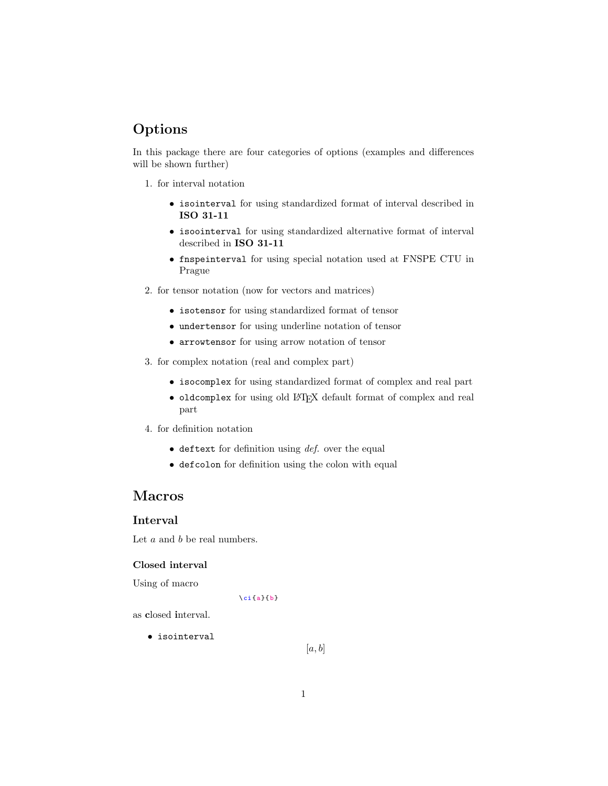# Options

In this package there are four categories of options (examples and differences will be shown further)

- 1. for interval notation
	- isointerval for using standardized format of interval described in ISO 31-11
	- isoointerval for using standardized alternative format of interval described in ISO 31-11
	- fnspeinterval for using special notation used at FNSPE CTU in Prague
- 2. for tensor notation (now for vectors and matrices)
	- isotensor for using standardized format of tensor
	- undertensor for using underline notation of tensor
	- arrowtensor for using arrow notation of tensor
- 3. for complex notation (real and complex part)
	- isocomplex for using standardized format of complex and real part
	- oldcomplex for using old LATEX default format of complex and real part
- 4. for definition notation
	- $\bullet$  deftext for definition using *def.* over the equal
	- defcolon for definition using the colon with equal

# Macros

## Interval

Let  $a$  and  $b$  be real numbers.

#### Closed interval

Using of macro

 $\ci{a}{b}$ 

as closed interval.

• isointerval

 $[a, b]$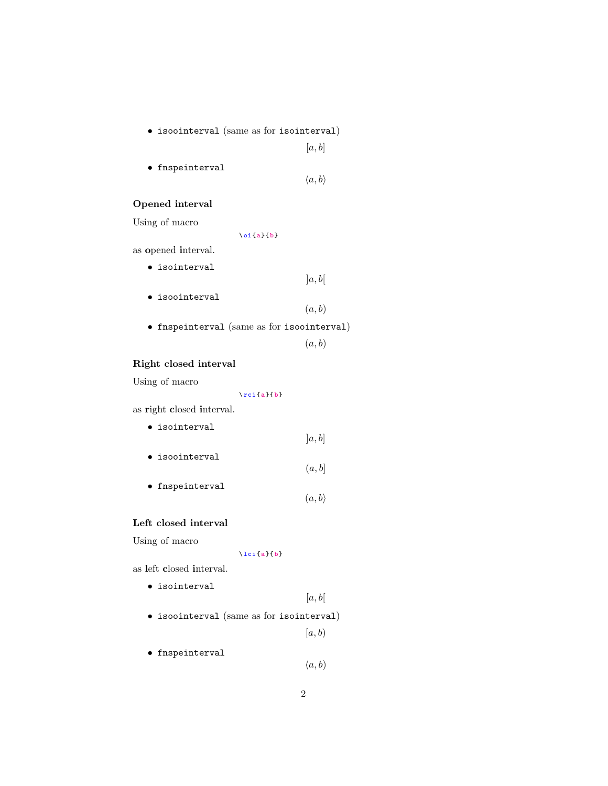• isoointerval (same as for isointerval)

 $[a, b]$ 

- fnspeinterval
- $\langle a, b \rangle$

#### Opened interval

Using of macro

 $\oi{a}{b}$ 

as opened interval.

• isointerval

 $]a, b[$ 

- isoointerval
- $(a, b)$
- fnspeinterval (same as for isoointerval)

 $(a, b)$ 

## Right closed interval

Using of macro

 $\triangledown$ rci {a}{b}

as right closed interval.

- isointerval  $[a, b]$ • isoointerval
- $(a, b]$
- fnspeinterval  $(a, b)$

#### Left closed interval

Using of macro

 $\left\{ a\right\}$ 

as left closed interval.

• isointerval

 $[a, b[$ 

• isoointerval (same as for isointerval)

 $[a, b)$ 

• fnspeinterval

 $\langle a, b \rangle$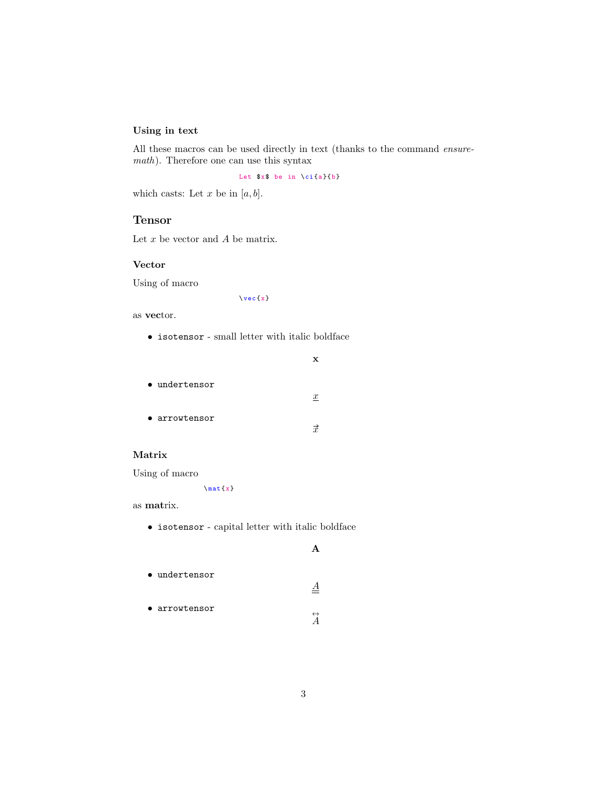## Using in text

All these macros can be used directly in text (thanks to the command ensuremath). Therefore one can use this syntax

Let  $x$ \$ be in \ci{a}{b}

which casts: Let  $x$  be in  $[a, b]$ .

## Tensor

Let  $x$  be vector and  $A$  be matrix.

#### Vector

Using of macro

 $\vee$  vec {x}

as vector.

 $\bullet\,$  isotensor - small letter with italic boldface

| • undertensor |                  |
|---------------|------------------|
|               | $\boldsymbol{x}$ |
| • arrowtensor |                  |
|               | $\vec{r}$        |

#### Matrix

Using of macro

 $\{\n$ 

as matrix.

 $\bullet\,$  isotensor - capital letter with italic boldface

A

 $\triangleq$ 

- undertensor
- arrowtensor
- $\overleftrightarrow{A}$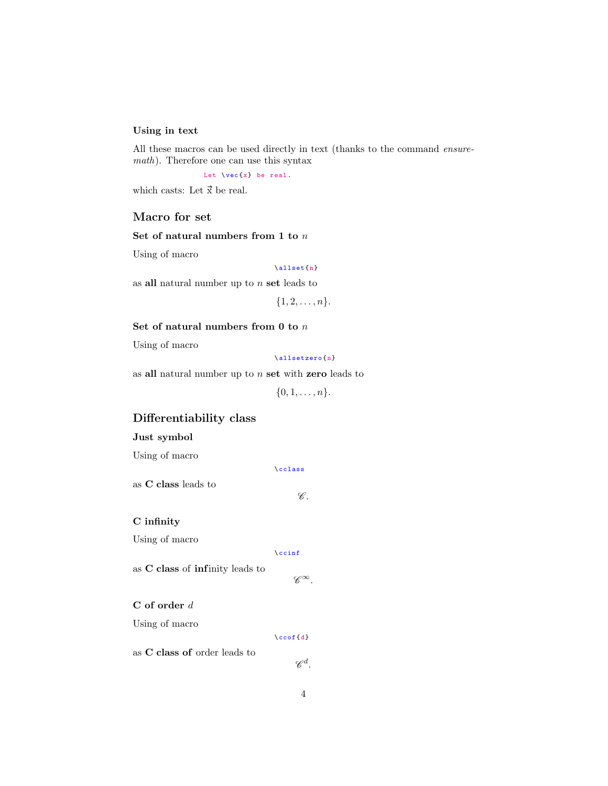#### Using in text

All these macros can be used directly in text (thanks to the command ensuremath). Therefore one can use this syntax

Let  $\text{vec}\{x\}$  be real.

which casts: Let  $\vec{x}$  be real.

#### Macro for set

#### Set of natural numbers from 1 to  $n$

Using of macro

#### \ allset {n}

as all natural number up to  $n$  set leads to

 $\{1, 2, \ldots, n\}.$ 

#### Set of natural numbers from  ${\bf 0}$  to  $n$

Using of macro

\ allsetzero {n}

as all natural number up to  $n$  set with zero leads to

 $\{0, 1, \ldots, n\}.$ 

## Differentiability class

#### Just symbol

Using of macro

\ cclass

 $\mathscr C.$ 

 $\mathscr{C}^\infty$ .

as C class leads to

C infinity

Using of macro

\ ccinf

as C class of infinity leads to

#### C of order d

Using of macro

 $\setminus$ ccof $\{d\}$ 

as C class of order leads to

4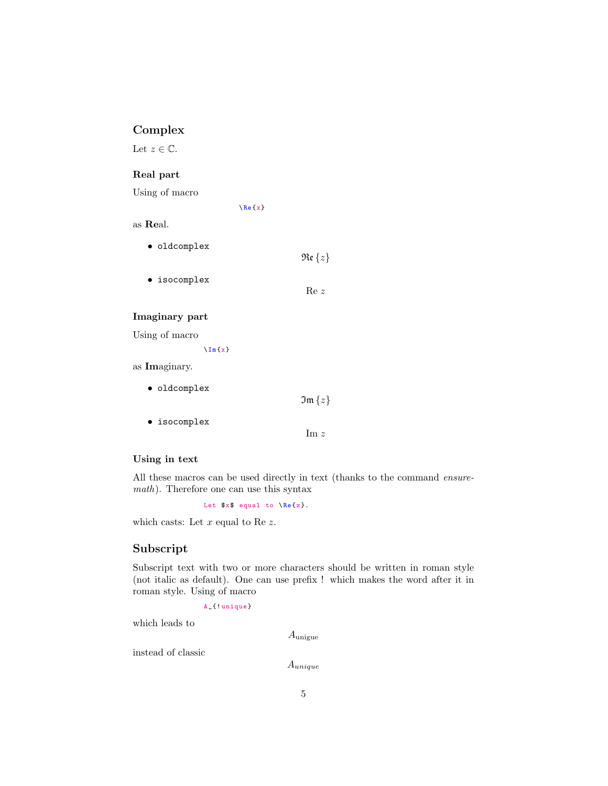## Complex

Let  $z \in \mathbb{C}$ .

## Real part

Using of macro

 $\Re$  (x)

## as Real.

| $\bullet$ oldcomplex |                    |
|----------------------|--------------------|
|                      | $\Re\epsilon\{z\}$ |
| • isocomplex         |                    |
|                      | Re z               |

#### Imaginary part

Using of macro

 $\ln{x}$ 

as Imaginary.

| $\bullet$ oldcomplex | $\mathfrak{Im}\left\{z\right\}$ |
|----------------------|---------------------------------|
| $\bullet$ isocomplex | $\mathop{\rm Im}\nolimits z$    |

## Using in text

All these macros can be used directly in text (thanks to the command ensuremath). Therefore one can use this syntax

Let  $x\$  equal to  $\Re\{z\}.$ 

which casts: Let  $x$  equal to Re  $z$ .

## Subscript

Subscript text with two or more characters should be written in roman style (not italic as default). One can use prefix ! which makes the word after it in roman style. Using of macro

```
A _ { ! unique }
```
which leads to

Aunigue

instead of classic

Aunique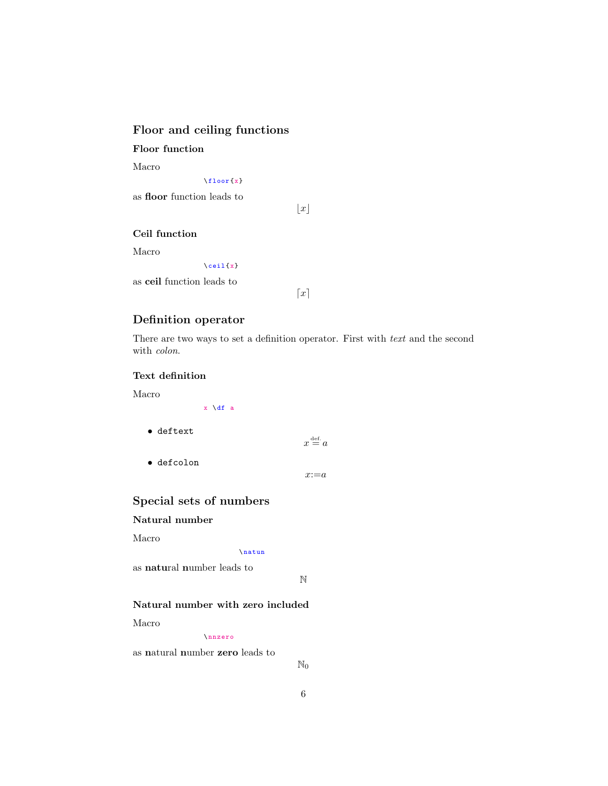## Floor and ceiling functions

Floor function

Macro

 $\left\{ \text{floor}\left\{ x\right\} \right\}$ 

as floor function leads to

 $\vert x \vert$ 

#### Ceil function

Macro

 $\setminus$  ceil {x}

as ceil function leads to

 $\lceil x \rceil$ 

## Definition operator

There are two ways to set a definition operator. First with text and the second with colon.

#### Text definition

Macro

|                    | x \df a |                      |
|--------------------|---------|----------------------|
| $\bullet$ deftext  |         | def.<br>$x \equiv a$ |
| $\bullet$ defcolon |         |                      |
|                    |         | $x:=a$               |

## Special sets of numbers

Natural number

#### Macro

\ natun

as natural number leads to

N

## Natural number with zero included

Macro

\ nnzero

as natural number zero leads to

 $\mathbb{N}_0$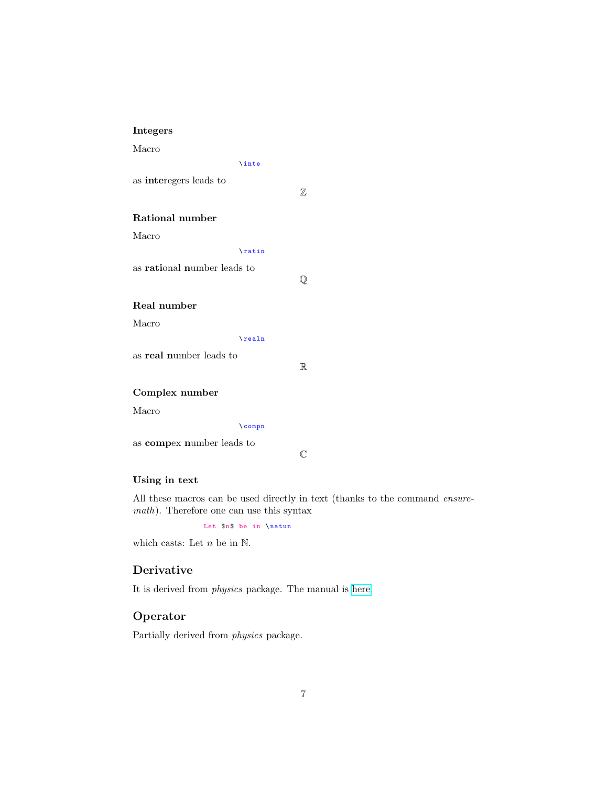## Integers

Macro

\ inte

as interegers leads to

Z

#### Rational number

Macro

\ ratin

as rational number leads to

 $\overline{Q}$ 

## Real number

Macro

\ realn

as real number leads to

R

## Complex number

Macro

\ compn

as compex number leads to

 $\mathbb{C}$ 

## Using in text

All these macros can be used directly in text (thanks to the command ensuremath). Therefore one can use this syntax

Let  $n$ \$ be in \natun

which casts: Let  $n$  be in  $\mathbb N$ .

## Derivative

It is derived from physics package. The manual is [here.](http://mirrors.ctan.org/macros/latex/contrib/physics/physics.pdf)

## Operator

Partially derived from physics package.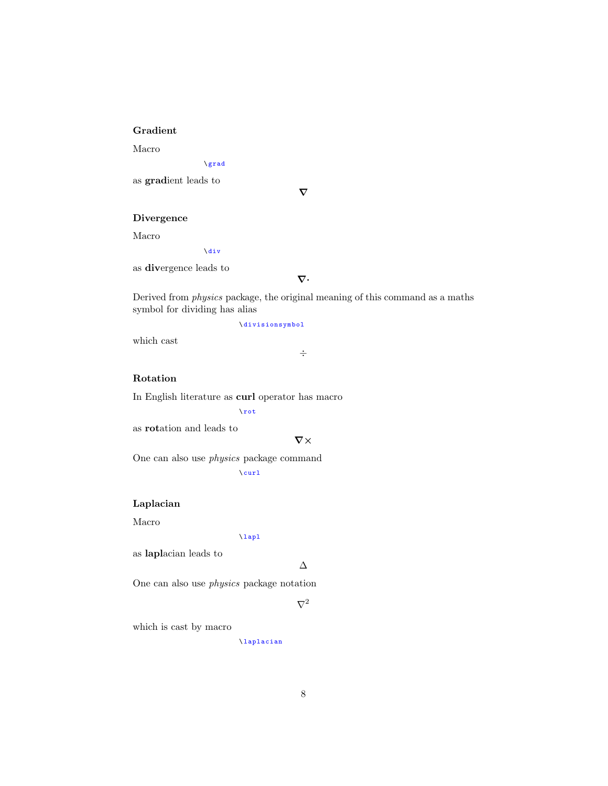## Gradient

Macro

\ grad

as gradient leads to

 $\nabla$ 

#### Divergence

Macro

\ div

as divergence leads to

 $\nabla \cdot$ 

Derived from physics package, the original meaning of this command as a maths symbol for dividing has alias

÷

\ divisionsymbol

which cast

## Rotation

In English literature as curl operator has macro

\ rot

as rotation and leads to

 $\nabla \times$ 

One can also use physics package command  $\sqrt{curl}$ 

#### Laplacian

Macro

\ lapl

as laplacian leads to

∆

One can also use physics package notation

 $\nabla^2$ 

which is cast by macro

\ laplacian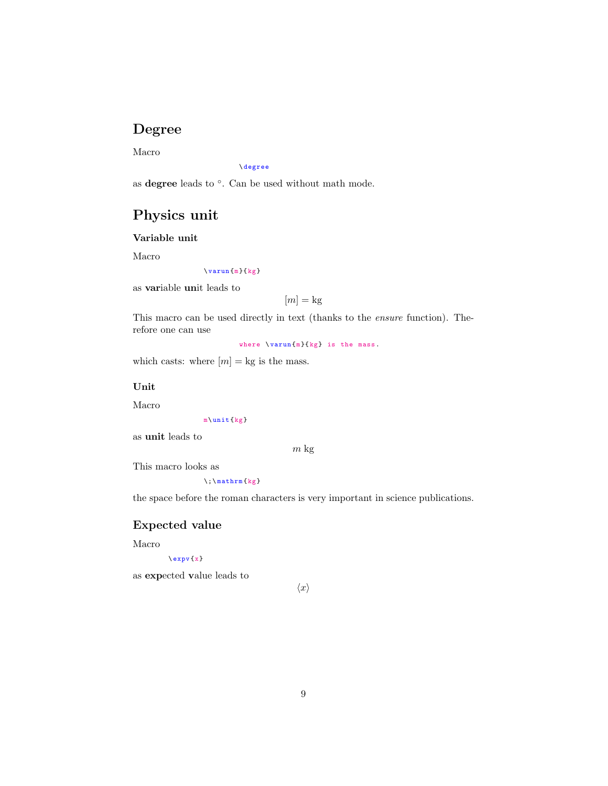# Degree

Macro

\ degree

as degree leads to ◦ . Can be used without math mode.

# Physics unit

Variable unit

Macro

 $\varphi(x)$ 

as variable unit leads to

 $[m] = \text{kg}$ 

This macro can be used directly in text (thanks to the ensure function). Therefore one can use

where  $\varphi \$   $\{ m\}$   $\{ kg\}$  is the mass.

which casts: where  $[m] =$  kg is the mass.

#### Unit

Macro

m\ unit {kg}

as unit leads to

m kg

This macro looks as

 $\iota$ ; \mathrm {kg}

the space before the roman characters is very important in science publications.

## Expected value

Macro

#### $\exp v \{x\}$

as expected value leads to

```
\langle x \rangle
```